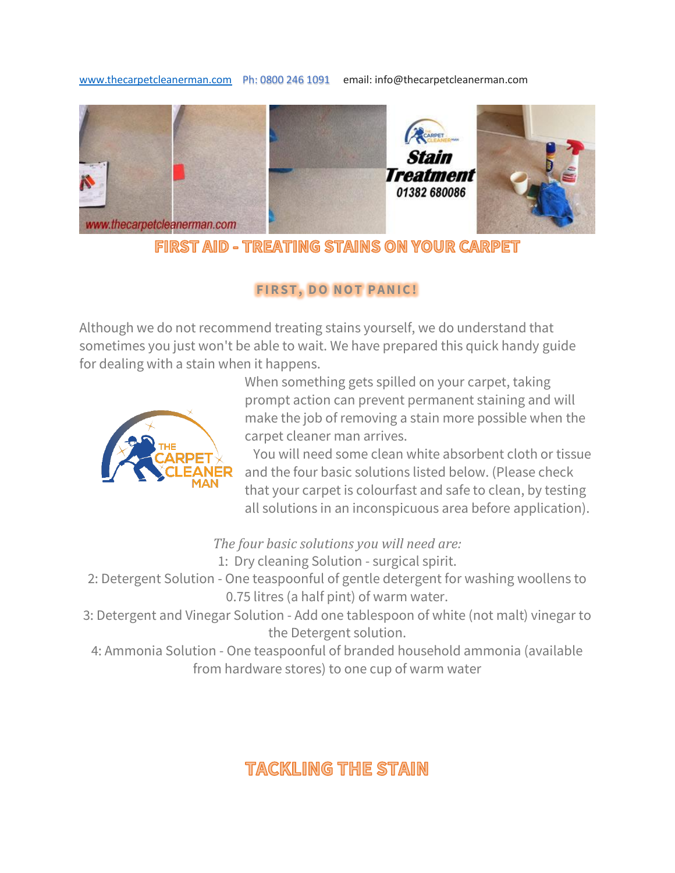[www.thecarpetcleanerman.com](http://www.thecarpetcleanerman.com/) Ph: 0800 246 1091 email: info@thecarpetcleanerman.com



FIRST AID - TREATING STAINS ON YOUR CARPET

## **FIRST, DO NOT PANIC!**

Although we do not recommend treating stains yourself, we do understand that sometimes you just won't be able to wait. We have prepared this quick handy guide for dealing with a stain when it happens.



When something gets spilled on your carpet, taking prompt action can prevent permanent staining and will make the job of removing a stain more possible when the carpet cleaner man arrives.

 You will need some clean white absorbent cloth or tissue and the four basic solutions listed below. (Please check that your carpet is colourfast and safe to clean, by testing all solutions in an inconspicuous area before application).

*The four basic solutions you will need are:*

1: Dry cleaning Solution - surgical spirit.

2: Detergent Solution - One teaspoonful of gentle detergent for washing woollens to 0.75 litres (a half pint) of warm water.

3: Detergent and Vinegar Solution - Add one tablespoon of white (not malt) vinegar to the Detergent solution.

4: Ammonia Solution - One teaspoonful of branded household ammonia (available from hardware stores) to one cup of warm water

# **TACKLING THE STAIN**